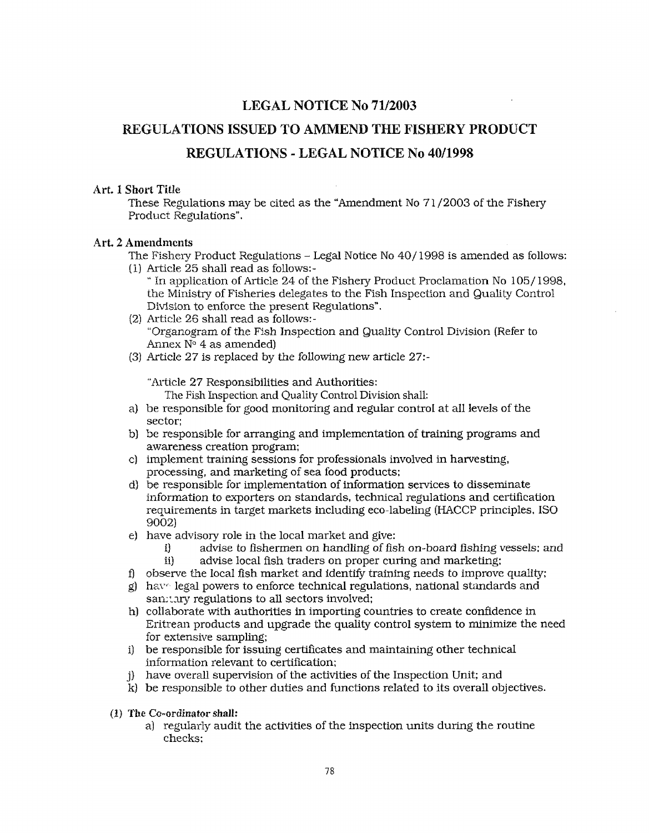## **LEGAL NOTICE No 71/2003**

## **REGULATIONS ISSUED** TO **AMMEND THE FISHERY PRODUCT**

## **REGULATIONS** - **LEGAL NOTICE NO 4011998**

#### Art. **1 Short Title**

These Regulations may be cited as the "Amendment No 7 1 /2003 of the Fishery Product Regulations".

#### Art. 2 Amendments

- The Fishery Product Regulations Legal Notice No 40/ 1998 is amended as follows:
- (l) Article 25 shall read as follows:- " In application of Article 24 of the Fishery Product Proclamation No 105/ 1998,
	- the Ministry of Fisheries delegates to the Fish Inspection and Quality Control Division to enforce the present Regulations".
- (2) Article 26 shall read as follows:- "Organogram of the Fish Inspection and Quality Control Division (Refer to Annex  $N^{\circ}$  4 as amended)
- **(31** Article 27 is replaced by the following new article 27:-

"Article 27 Responsibilities and Authorities:

The Fish Inspection and Quality Control Division shall:

- be responsible for good monitoring and regular control at a11 levels of the sector;
- be responsible for arranging and implementation of training programs and awareness creation program;
- c) implement training sessions for professionals involved in harvesting, processing, and marketing of sea food products;
- d) be responsible for implementation of information services to disseminate information to exporters on standards, technical regulations and certification requirements in target markets including eco-labeling (HACCP principles, IS0 9002)
- have advisory role in the local market and give:
	- i) advise to fishermen on handling of fish on-board fishing vessels; and<br>ii) advise local fish traders on proper curing and marketing: advise local fish traders on proper curing and marketing:
- f) observe the local fish market and identify training needs to improve quality;
- $g$ ) have legal powers to enforce technical regulations, national standards and san, tary regulations to all sectors involved;
- collaborate with authorities in importing countries to create confidence in Eritrean products and upgrade the quality control system to minimize the need for extensive sampling;
- be responsible for issuing certificates and maintaining other technical information relevant to certification;
- have overall supervision of the activities of the Inspection Unit; and
- be responsible to other duties and functions refated to its overall objectives.
- **(I) ?'he Co-ordinator shall:** 
	- a] regularly audit the activities of the inspection units during the routine checks;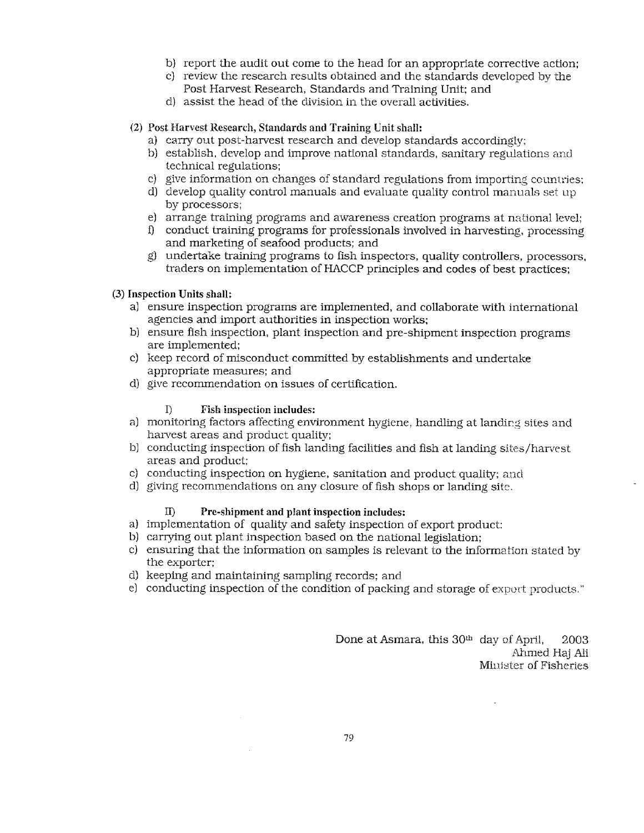- b) report the audit out come to the head for an appropriate corrective action;
- C) review the research results obtained and the standards developed by the Post Harvest Research, Standards and Training Unit; and
- d) assist the head of the division in the overall activities.

#### *(2)* **Post Harvest Research, Standards and Training Unit shall:**

- a) carry out post-harvest research and develop standards accordingly:
- b) establish, develop and improve national standards, sanitary regulations and technical regulations;
- c) give information on changes of standard regulations from importing countries;
- d) develop quality control manuals and evaluate quality control manuals set uy by processors;
- e) arrange training programs and awareness creation programs at national level;
- **i)** conduct training programs for professionals involved in harvesting, processing and marketing of seafood products; and
- g undertake training programs to fish inspectors, quality controllers, processors, traders on implementation of HACCP principles and codes of best practices;

#### **(3) Inspection Units shall:**

- a) ensure inspection programs are implemented, and collaborate with international agencies and import authorities in inspection works;
- b) ensure fish inspection, plant inspection and pre-shipment inspection programs are implemented;
- c) keep record of misconduct committed by establishments and undertake appropriate measures; and
- d) give recommendation on issues of certification.

#### 1) **Fish inspection includes:**

- a) monitoring factors affecting environment hygiene, handling at landing sites and harvest areas and product quality;
- b) conducting inspection of fish landing facilities and fish at landing sites/harvest areas and product;
- c) conducting inspection on hygiene, sanitation and product quality; and
- d) giving recommendations on any closure of fish shops or landing site.

#### 11) **Pre-shipment and plant inspection includes:**

- a) implementation of quality and safety inspection of export product:
- b) carrying out plant inspection based on the national legislation;
- c) ensuring that the information on samples is relevant to the information stated by the exporter;
- d) keeping and maintaining sampling records; and
- e) conducting inspection of the condition of packing and storage of export products."

Done at Asmara, this 30th day of **April,** 2003 Ahmed Haj Ali Minister of Fisheries